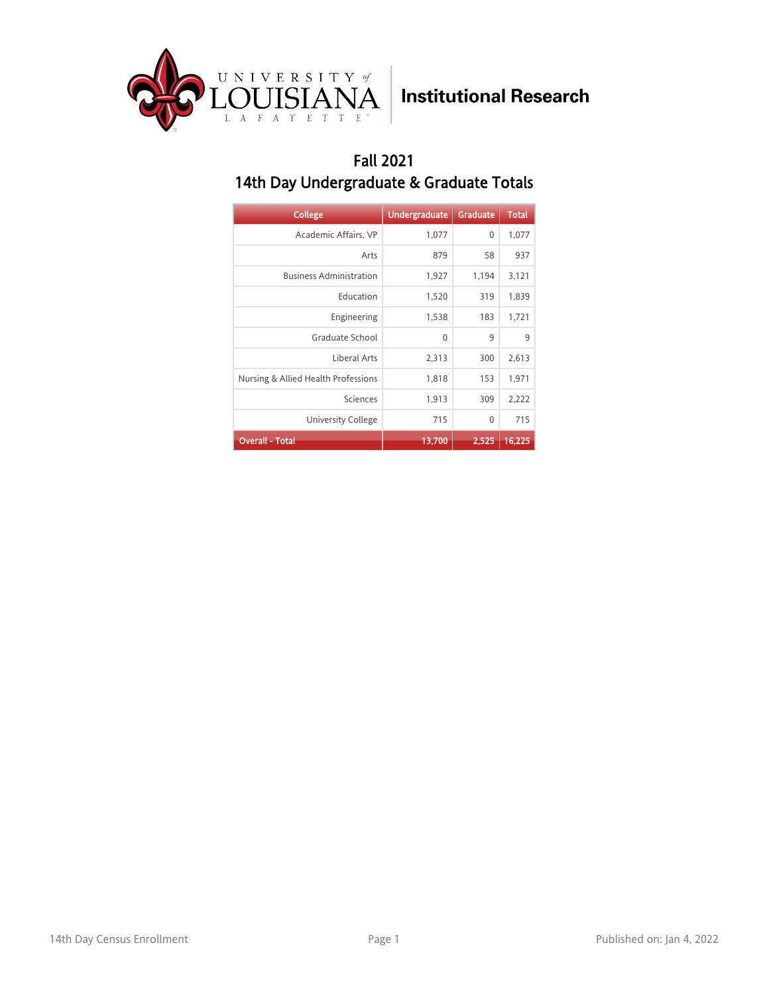

#### Fall 2021 14th Day Undergraduate & Graduate Totals

| <b>College</b>                      | <b>Undergraduate</b> | <b>Graduate</b> | <b>Total</b> |
|-------------------------------------|----------------------|-----------------|--------------|
| Academic Affairs, VP                | 1,077                | 0               | 1,077        |
| Arts                                | 879                  | 58              | 937          |
| <b>Business Administration</b>      | 1,927                | 1,194           | 3,121        |
| Education                           | 1,520                | 319             | 1,839        |
| Engineering                         | 1,538                | 183             | 1,721        |
| Graduate School                     | 0                    | 9               | 9            |
| Liberal Arts                        | 2,313                | 300             | 2,613        |
| Nursing & Allied Health Professions | 1,818                | 153             | 1,971        |
| Sciences                            | 1,913                | 309             | 2,222        |
| University College                  | 715                  | 0               | 715          |
| <b>Overall - Total</b>              | 13,700               | 2,525           | 16,225       |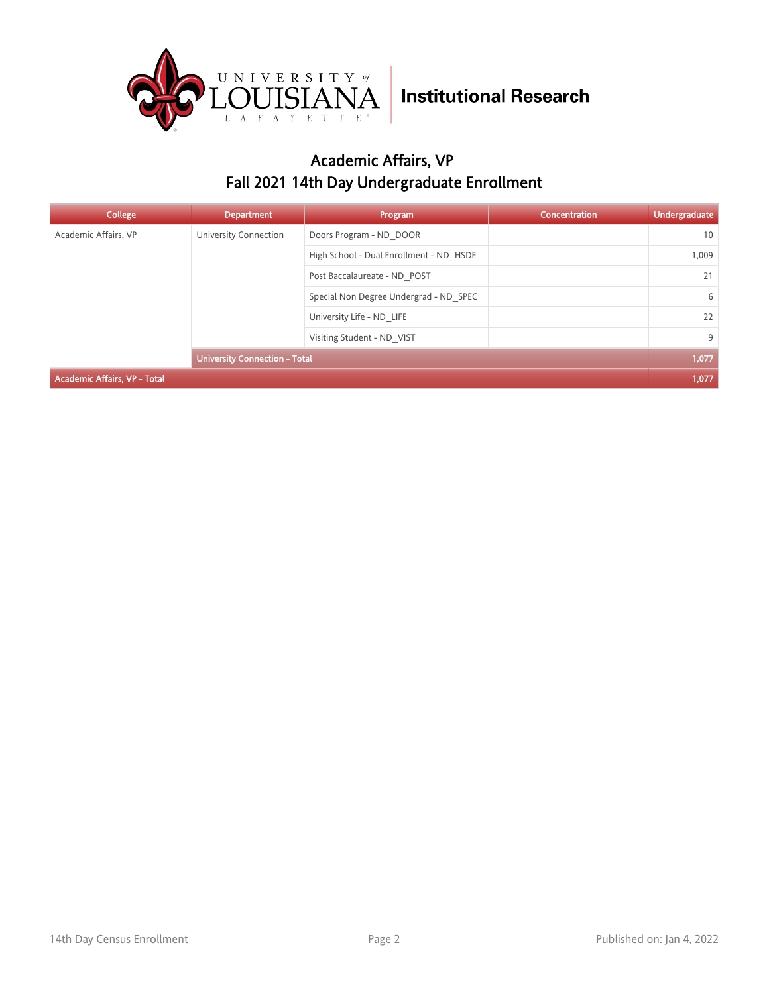

### Academic Affairs, VP Fall 2021 14th Day Undergraduate Enrollment

| College                             | <b>Department</b>                    | Program                                 | Concentration | <b>Undergraduate</b> |
|-------------------------------------|--------------------------------------|-----------------------------------------|---------------|----------------------|
| Academic Affairs, VP                | University Connection                | Doors Program - ND DOOR                 |               | 10                   |
|                                     |                                      | High School - Dual Enrollment - ND HSDE |               | 1,009                |
|                                     |                                      | Post Baccalaureate - ND POST            |               | 21                   |
|                                     |                                      | Special Non Degree Undergrad - ND SPEC  |               | 6                    |
|                                     |                                      | University Life - ND LIFE               |               | 22                   |
|                                     | Visiting Student - ND VIST           |                                         | 9             |                      |
|                                     | <b>University Connection - Total</b> |                                         |               | 1,077                |
| <b>Academic Affairs, VP - Total</b> |                                      |                                         |               | 1,077                |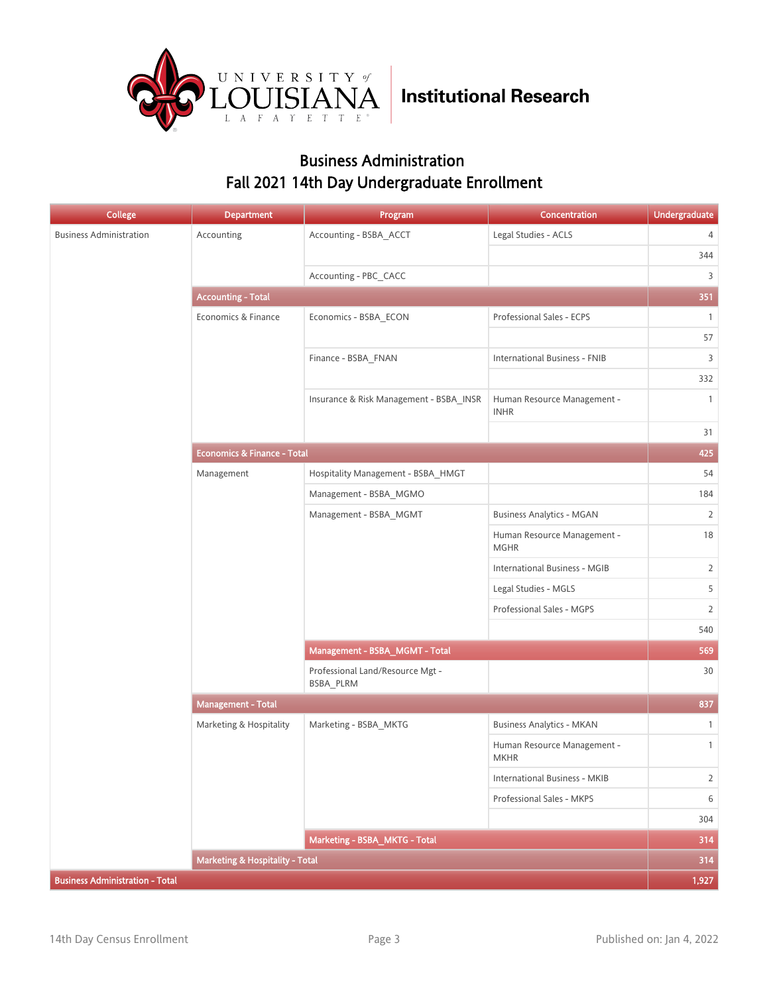

#### Business Administration Fall 2021 14th Day Undergraduate Enrollment

| <b>College</b>                         | <b>Department</b>                          | Program                                       | Concentration                              | <b>Undergraduate</b> |
|----------------------------------------|--------------------------------------------|-----------------------------------------------|--------------------------------------------|----------------------|
| <b>Business Administration</b>         | Accounting                                 | Accounting - BSBA_ACCT                        | Legal Studies - ACLS                       | 4                    |
|                                        |                                            |                                               |                                            | 344                  |
|                                        |                                            | Accounting - PBC_CACC                         |                                            | 3                    |
|                                        | <b>Accounting - Total</b>                  |                                               |                                            | 351                  |
|                                        | Economics & Finance                        | Economics - BSBA_ECON                         | Professional Sales - ECPS                  | $\mathbf{1}$         |
|                                        |                                            |                                               |                                            | 57                   |
|                                        |                                            | Finance - BSBA_FNAN                           | <b>International Business - FNIB</b>       | 3                    |
|                                        |                                            |                                               |                                            | 332                  |
|                                        |                                            | Insurance & Risk Management - BSBA_INSR       | Human Resource Management -<br><b>INHR</b> | $\overline{1}$       |
|                                        |                                            |                                               |                                            | 31                   |
|                                        | <b>Economics &amp; Finance - Total</b>     |                                               |                                            | 425                  |
|                                        | Management                                 | Hospitality Management - BSBA_HMGT            |                                            | 54                   |
|                                        |                                            | Management - BSBA_MGMO                        |                                            | 184                  |
|                                        |                                            | Management - BSBA_MGMT                        | <b>Business Analytics - MGAN</b>           | $\overline{2}$       |
|                                        |                                            |                                               | Human Resource Management -<br><b>MGHR</b> | 18                   |
|                                        |                                            |                                               | <b>International Business - MGIB</b>       | $\overline{2}$       |
|                                        |                                            |                                               | Legal Studies - MGLS                       | 5                    |
|                                        |                                            |                                               | Professional Sales - MGPS                  | $\overline{2}$       |
|                                        |                                            |                                               |                                            | 540                  |
|                                        |                                            | Management - BSBA_MGMT - Total                |                                            | 569                  |
|                                        |                                            | Professional Land/Resource Mgt -<br>BSBA_PLRM |                                            | 30                   |
|                                        | <b>Management - Total</b>                  |                                               |                                            | 837                  |
|                                        | Marketing & Hospitality                    | Marketing - BSBA_MKTG                         | <b>Business Analytics - MKAN</b>           | $\overline{1}$       |
|                                        |                                            |                                               | Human Resource Management -<br><b>MKHR</b> | $\mathbf{1}$         |
|                                        |                                            |                                               | International Business - MKIB              | $\overline{2}$       |
|                                        |                                            |                                               | Professional Sales - MKPS                  | 6                    |
|                                        |                                            |                                               |                                            | 304                  |
|                                        |                                            | Marketing - BSBA_MKTG - Total                 |                                            | 314                  |
|                                        | <b>Marketing &amp; Hospitality - Total</b> |                                               |                                            | 314                  |
| <b>Business Administration - Total</b> |                                            |                                               |                                            | 1,927                |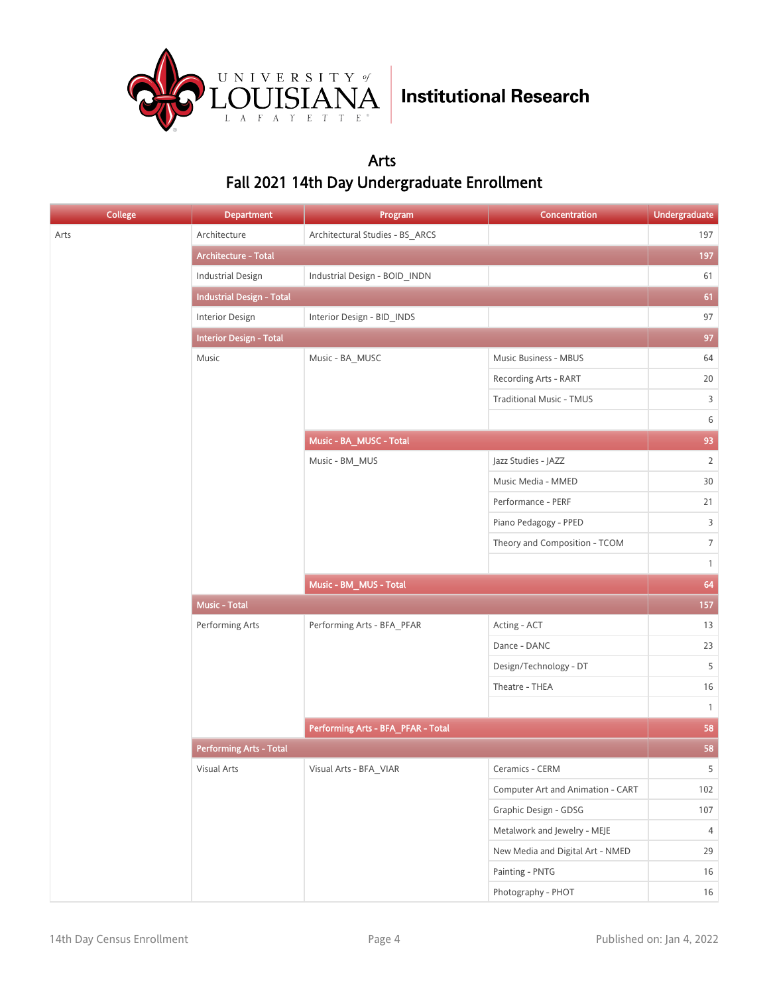

#### Arts Fall 2021 14th Day Undergraduate Enrollment

| <b>College</b> | <b>Department</b>                | Program                            | Concentration                     | <b>Undergraduate</b> |        |
|----------------|----------------------------------|------------------------------------|-----------------------------------|----------------------|--------|
| Arts           | Architecture                     | Architectural Studies - BS_ARCS    |                                   | 197                  |        |
|                | Architecture - Total             |                                    |                                   | 197                  |        |
|                | <b>Industrial Design</b>         | Industrial Design - BOID_INDN      |                                   | 61                   |        |
|                | <b>Industrial Design - Total</b> |                                    |                                   | 61                   |        |
|                | <b>Interior Design</b>           | Interior Design - BID_INDS         |                                   | 97                   |        |
|                | <b>Interior Design - Total</b>   |                                    |                                   | 97                   |        |
|                | Music                            | Music - BA_MUSC                    | Music Business - MBUS             | 64                   |        |
|                |                                  |                                    | Recording Arts - RART             | 20                   |        |
|                |                                  |                                    | <b>Traditional Music - TMUS</b>   | $\mathsf{3}$         |        |
|                |                                  |                                    |                                   | $\,$ 6 $\,$          |        |
|                |                                  | Music - BA_MUSC - Total            |                                   | 93                   |        |
|                |                                  | Music - BM_MUS                     | Jazz Studies - JAZZ               | $\overline{2}$       |        |
|                |                                  |                                    | Music Media - MMED                | 30                   |        |
|                |                                  |                                    | Performance - PERF                | 21                   |        |
|                |                                  |                                    | Piano Pedagogy - PPED             | 3                    |        |
|                |                                  |                                    | Theory and Composition - TCOM     | $\,7$                |        |
|                |                                  |                                    |                                   | $\mathbf{1}$         |        |
|                |                                  | Music - BM_MUS - Total             |                                   | 64                   |        |
|                | Music - Total                    |                                    |                                   | 157                  |        |
|                | Performing Arts                  | Performing Arts - BFA_PFAR         | Acting - ACT                      | 13                   |        |
|                |                                  |                                    | Dance - DANC                      | 23                   |        |
|                |                                  |                                    | Design/Technology - DT            | 5                    |        |
|                |                                  |                                    | Theatre - THEA                    | 16                   |        |
|                |                                  |                                    |                                   | $\mathbf{1}$         |        |
|                |                                  | Performing Arts - BFA_PFAR - Total |                                   | 58                   |        |
|                | <b>Performing Arts - Total</b>   |                                    |                                   | 58                   |        |
|                | Visual Arts                      | Visual Arts - BFA_VIAR             | Ceramics - CERM                   | 5 <sup>1</sup>       |        |
|                |                                  |                                    | Computer Art and Animation - CART | 102                  |        |
|                |                                  |                                    | Graphic Design - GDSG             | 107                  |        |
|                |                                  |                                    | Metalwork and Jewelry - MEJE      | 4                    |        |
|                |                                  |                                    | New Media and Digital Art - NMED  | 29                   |        |
|                |                                  |                                    | Painting - PNTG                   | 16                   |        |
|                |                                  |                                    |                                   | Photography - PHOT   | $16\,$ |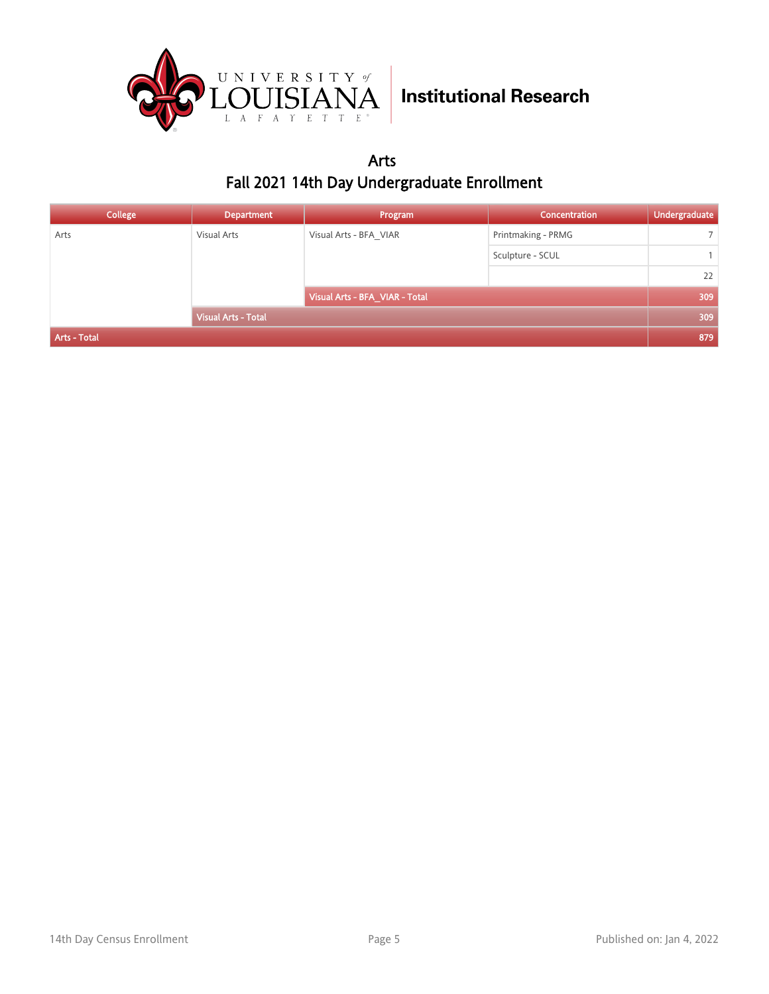

Arts Fall 2021 14th Day Undergraduate Enrollment

| <b>College</b> | <b>Department</b>          | Program                        | Concentration      | Undergraduate  |
|----------------|----------------------------|--------------------------------|--------------------|----------------|
| Arts           | Visual Arts                | Visual Arts - BFA VIAR         | Printmaking - PRMG | $\overline{7}$ |
|                |                            |                                | Sculpture - SCUL   |                |
|                |                            |                                |                    | 22             |
|                |                            | Visual Arts - BFA_VIAR - Total |                    | 309            |
|                | <b>Visual Arts - Total</b> |                                |                    | 309            |
| Arts - Total   |                            |                                |                    | 879            |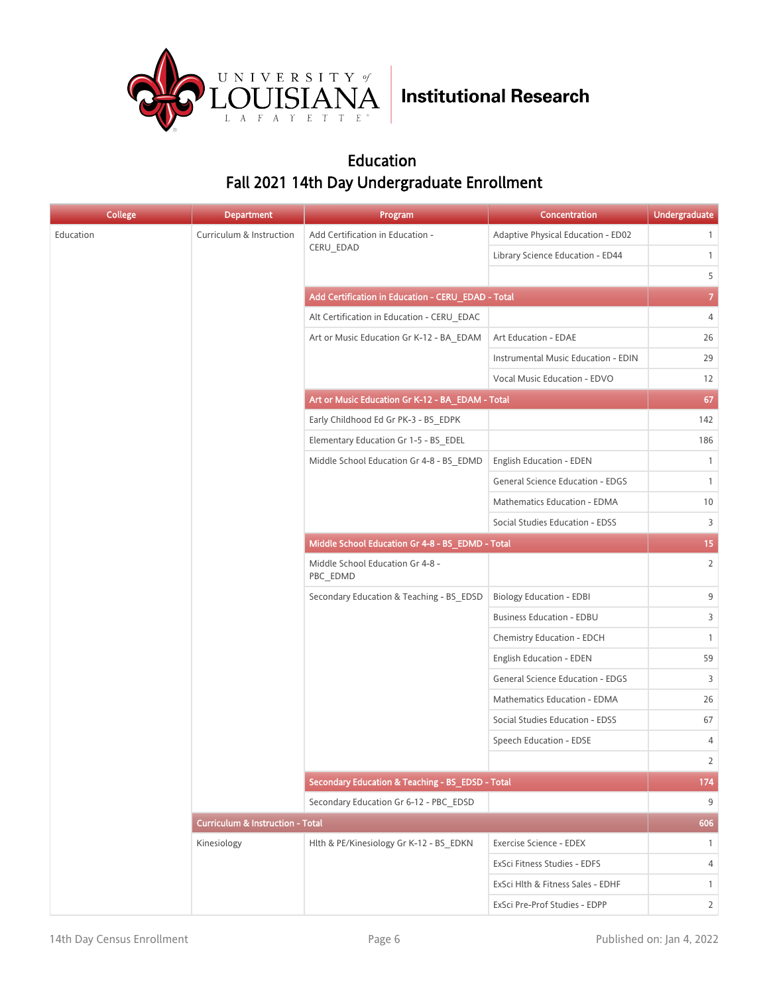

#### Education Fall 2021 14th Day Undergraduate Enrollment

| <b>College</b> | <b>Department</b>                           | Program                                            | Concentration                           | <b>Undergraduate</b> |
|----------------|---------------------------------------------|----------------------------------------------------|-----------------------------------------|----------------------|
| Education      | Curriculum & Instruction                    | Add Certification in Education -                   | Adaptive Physical Education - ED02      | $\mathbf{1}$         |
|                |                                             | CERU_EDAD                                          | Library Science Education - ED44        | $\mathbf{1}$         |
|                |                                             |                                                    |                                         | 5                    |
|                |                                             | Add Certification in Education - CERU_EDAD - Total |                                         | $\overline{7}$       |
|                |                                             | Alt Certification in Education - CERU EDAC         |                                         | 4                    |
|                |                                             | Art or Music Education Gr K-12 - BA EDAM           | Art Education - EDAE                    | 26                   |
|                |                                             |                                                    | Instrumental Music Education - EDIN     | 29                   |
|                |                                             |                                                    | Vocal Music Education - EDVO            | 12                   |
|                |                                             | Art or Music Education Gr K-12 - BA_EDAM - Total   |                                         | 67                   |
|                |                                             | Early Childhood Ed Gr PK-3 - BS EDPK               |                                         | 142                  |
|                |                                             | Elementary Education Gr 1-5 - BS EDEL              |                                         | 186                  |
|                |                                             | Middle School Education Gr 4-8 - BS_EDMD           | <b>English Education - EDEN</b>         | $\mathbf{1}$         |
|                |                                             |                                                    | <b>General Science Education - EDGS</b> | $\mathbf{1}$         |
|                |                                             |                                                    | Mathematics Education - EDMA            | 10                   |
|                |                                             |                                                    | Social Studies Education - EDSS         | 3                    |
|                |                                             | Middle School Education Gr 4-8 - BS_EDMD - Total   |                                         | 15 <sub>1</sub>      |
|                |                                             | Middle School Education Gr 4-8 -<br>PBC_EDMD       |                                         | $\overline{2}$       |
|                |                                             | Secondary Education & Teaching - BS EDSD           | <b>Biology Education - EDBI</b>         | 9                    |
|                |                                             |                                                    | <b>Business Education - EDBU</b>        | $\overline{3}$       |
|                |                                             |                                                    | Chemistry Education - EDCH              | $\mathbf{1}$         |
|                |                                             |                                                    | English Education - EDEN                | 59                   |
|                |                                             |                                                    | General Science Education - EDGS        | 3                    |
|                |                                             |                                                    | Mathematics Education - EDMA            | 26                   |
|                |                                             |                                                    | Social Studies Education - EDSS         | 67                   |
|                |                                             |                                                    | Speech Education - EDSE                 | 4                    |
|                |                                             |                                                    |                                         | $\overline{2}$       |
|                |                                             | Secondary Education & Teaching - BS_EDSD - Total   |                                         | 174                  |
|                |                                             | Secondary Education Gr 6-12 - PBC EDSD             |                                         | 9                    |
|                | <b>Curriculum &amp; Instruction - Total</b> |                                                    |                                         | 606                  |
|                | Kinesiology                                 | Hlth & PE/Kinesiology Gr K-12 - BS EDKN            | Exercise Science - EDEX                 | $\mathbf{1}$         |
|                |                                             |                                                    | ExSci Fitness Studies - EDFS            | 4                    |
|                |                                             |                                                    | ExSci Hlth & Fitness Sales - EDHF       | $\mathbf{1}$         |
|                |                                             |                                                    | ExSci Pre-Prof Studies - EDPP           | $\overline{2}$       |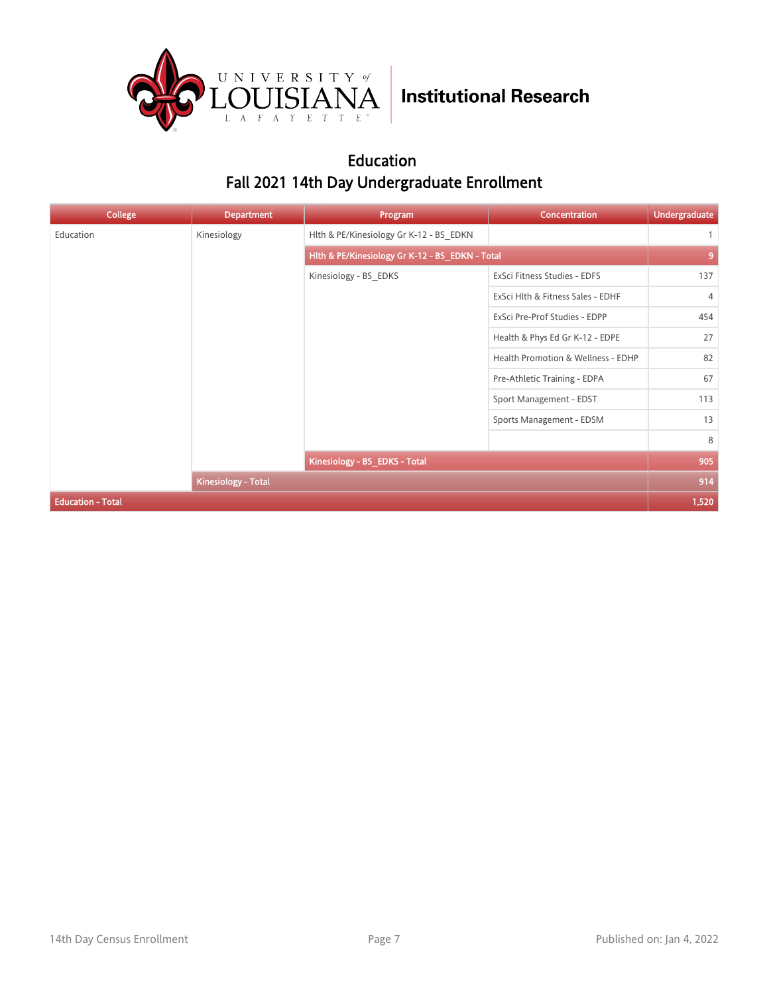

#### Education Fall 2021 14th Day Undergraduate Enrollment

| <b>College</b>           | <b>Department</b>   | Program                                         | <b>Concentration</b>               | <b>Undergraduate</b> |
|--------------------------|---------------------|-------------------------------------------------|------------------------------------|----------------------|
| Education                | Kinesiology         | Hlth & PE/Kinesiology Gr K-12 - BS EDKN         |                                    | $\mathbf{1}$         |
|                          |                     | Hlth & PE/Kinesiology Gr K-12 - BS_EDKN - Total |                                    | 9                    |
|                          |                     | Kinesiology - BS EDKS                           | ExSci Fitness Studies - EDFS       | 137                  |
|                          |                     |                                                 | ExSci Hlth & Fitness Sales - EDHF  | $\overline{4}$       |
|                          |                     |                                                 | ExSci Pre-Prof Studies - EDPP      | 454                  |
|                          |                     |                                                 | Health & Phys Ed Gr K-12 - EDPE    | 27                   |
|                          |                     |                                                 | Health Promotion & Wellness - EDHP | 82                   |
|                          |                     |                                                 | Pre-Athletic Training - EDPA       | 67                   |
|                          |                     |                                                 | Sport Management - EDST            | 113                  |
|                          |                     |                                                 | Sports Management - EDSM           | 13                   |
|                          |                     |                                                 |                                    | 8                    |
|                          |                     | Kinesiology - BS_EDKS - Total                   |                                    | 905                  |
|                          | Kinesiology - Total |                                                 |                                    | 914                  |
| <b>Education - Total</b> |                     |                                                 |                                    | 1,520                |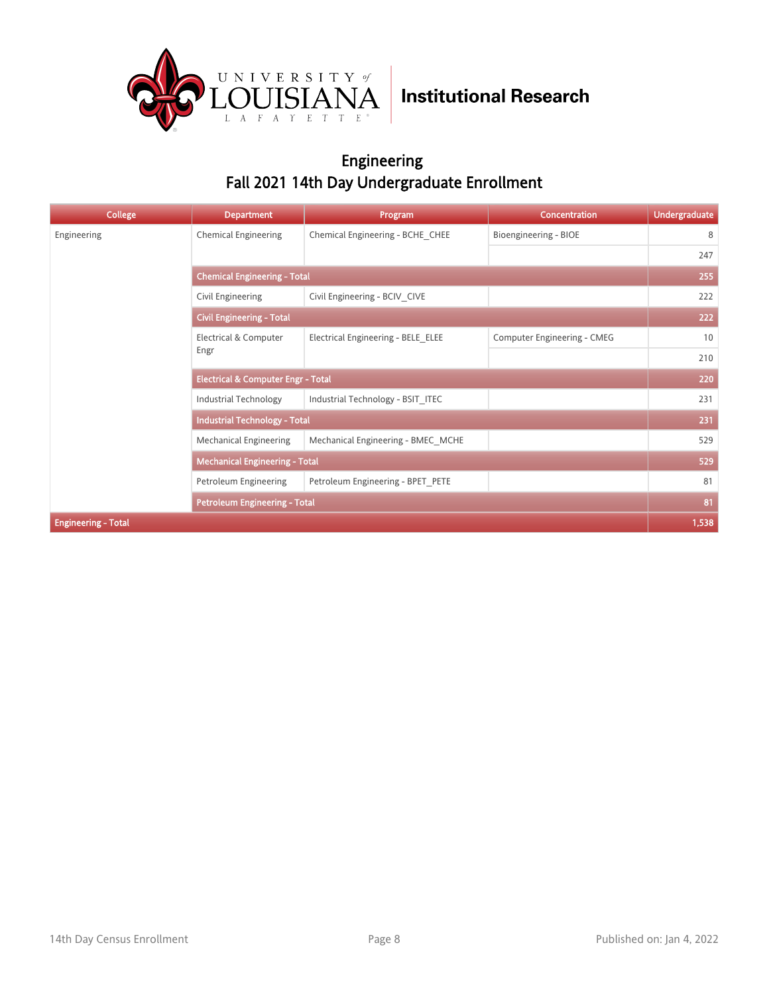

#### Engineering Fall 2021 14th Day Undergraduate Enrollment

| College                    | <b>Department</b>                             | Program                            | <b>Concentration</b>        | <b>Undergraduate</b> |  |
|----------------------------|-----------------------------------------------|------------------------------------|-----------------------------|----------------------|--|
| Engineering                | <b>Chemical Engineering</b>                   | Chemical Engineering - BCHE CHEE   | Bioengineering - BIOE       | 8                    |  |
|                            |                                               |                                    |                             | 247                  |  |
|                            | <b>Chemical Engineering - Total</b>           |                                    |                             |                      |  |
|                            | Civil Engineering                             | Civil Engineering - BCIV CIVE      |                             | 222                  |  |
|                            | <b>Civil Engineering - Total</b>              |                                    |                             | 222                  |  |
|                            | Electrical & Computer<br>Engr                 | Electrical Engineering - BELE ELEE | Computer Engineering - CMEG | 10                   |  |
|                            |                                               |                                    |                             | 210                  |  |
|                            | <b>Electrical &amp; Computer Engr - Total</b> |                                    |                             | 220                  |  |
|                            | Industrial Technology                         | Industrial Technology - BSIT ITEC  |                             | 231                  |  |
|                            | <b>Industrial Technology - Total</b>          |                                    |                             | 231                  |  |
|                            | <b>Mechanical Engineering</b>                 | Mechanical Engineering - BMEC MCHE |                             | 529                  |  |
|                            | <b>Mechanical Engineering - Total</b>         |                                    |                             | 529                  |  |
|                            | Petroleum Engineering                         | Petroleum Engineering - BPET PETE  |                             | 81                   |  |
|                            | <b>Petroleum Engineering - Total</b>          |                                    |                             | 81                   |  |
| <b>Engineering - Total</b> |                                               |                                    |                             | 1,538                |  |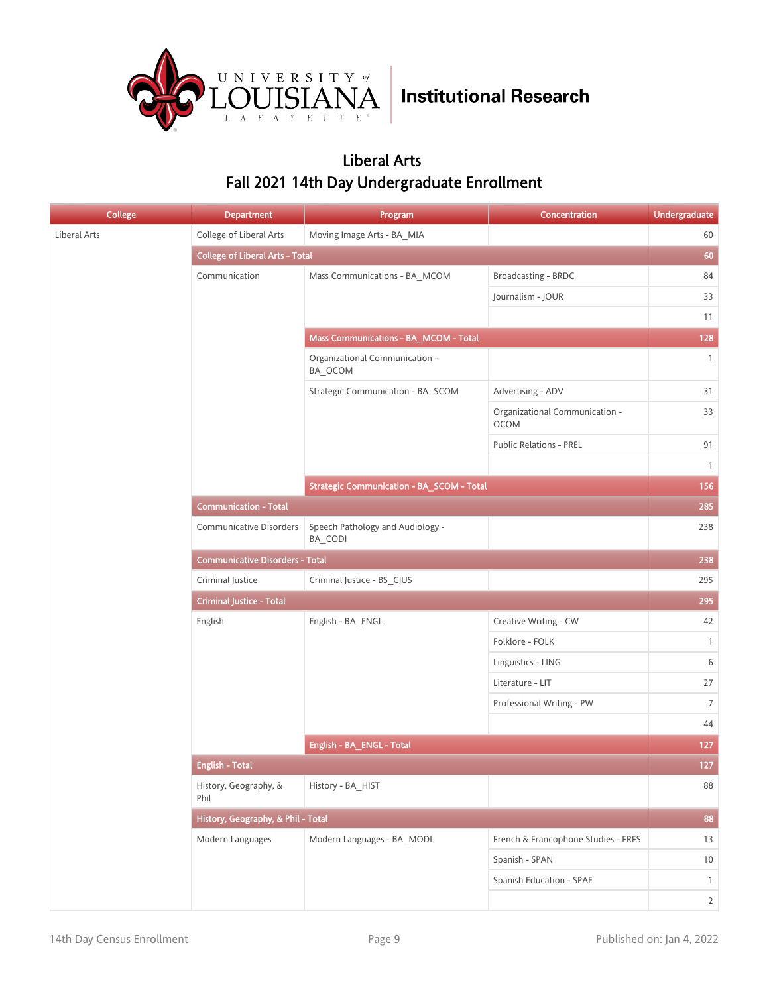

#### Liberal Arts Fall 2021 14th Day Undergraduate Enrollment

| <b>College</b> | <b>Department</b>                      | Program                                          | Concentration                                 | <b>Undergraduate</b> |
|----------------|----------------------------------------|--------------------------------------------------|-----------------------------------------------|----------------------|
| Liberal Arts   | College of Liberal Arts                | Moving Image Arts - BA_MIA                       |                                               | 60                   |
|                | <b>College of Liberal Arts - Total</b> |                                                  |                                               | 60                   |
|                | Communication                          | Mass Communications - BA_MCOM                    | Broadcasting - BRDC                           | 84                   |
|                |                                        |                                                  | Journalism - JOUR                             | 33                   |
|                |                                        |                                                  |                                               | 11                   |
|                |                                        | Mass Communications - BA_MCOM - Total            |                                               | 128                  |
|                |                                        | Organizational Communication -<br>BA_OCOM        |                                               | $\mathbf{1}$         |
|                |                                        | Strategic Communication - BA_SCOM                | Advertising - ADV                             | 31                   |
|                |                                        |                                                  | Organizational Communication -<br><b>OCOM</b> | 33                   |
|                |                                        |                                                  | <b>Public Relations - PREL</b>                | 91                   |
|                |                                        |                                                  |                                               | $\mathbf{1}$         |
|                |                                        | <b>Strategic Communication - BA_SCOM - Total</b> |                                               | 156                  |
|                | <b>Communication - Total</b>           |                                                  |                                               | 285                  |
|                | <b>Communicative Disorders</b>         | Speech Pathology and Audiology -<br>BA CODI      |                                               | 238                  |
|                | <b>Communicative Disorders - Total</b> |                                                  |                                               | 238                  |
|                | Criminal Justice                       | Criminal Justice - BS_CJUS                       |                                               | 295                  |
|                | <b>Criminal Justice - Total</b>        |                                                  |                                               | 295                  |
|                | English                                | English - BA_ENGL                                | Creative Writing - CW                         | 42                   |
|                |                                        |                                                  | Folklore - FOLK                               | $\mathbf{1}$         |
|                |                                        |                                                  | Linguistics - LING                            | 6                    |
|                |                                        |                                                  | Literature - LIT                              | 27                   |
|                |                                        |                                                  | Professional Writing - PW                     | $7\overline{ }$      |
|                |                                        |                                                  |                                               | 44                   |
|                |                                        | English - BA_ENGL - Total                        |                                               | 127                  |
|                | <b>English - Total</b>                 |                                                  |                                               | $127$                |
|                | History, Geography, &<br>Phil          | History - BA_HIST                                |                                               | 88                   |
|                | History, Geography, & Phil - Total     |                                                  |                                               | 88                   |
|                | Modern Languages                       | Modern Languages - BA_MODL                       | French & Francophone Studies - FRFS           | 13                   |
|                |                                        |                                                  | Spanish - SPAN                                | $10$                 |
|                |                                        |                                                  | Spanish Education - SPAE                      | $\mathbf{1}$         |
|                |                                        |                                                  |                                               | $\overline{2}$       |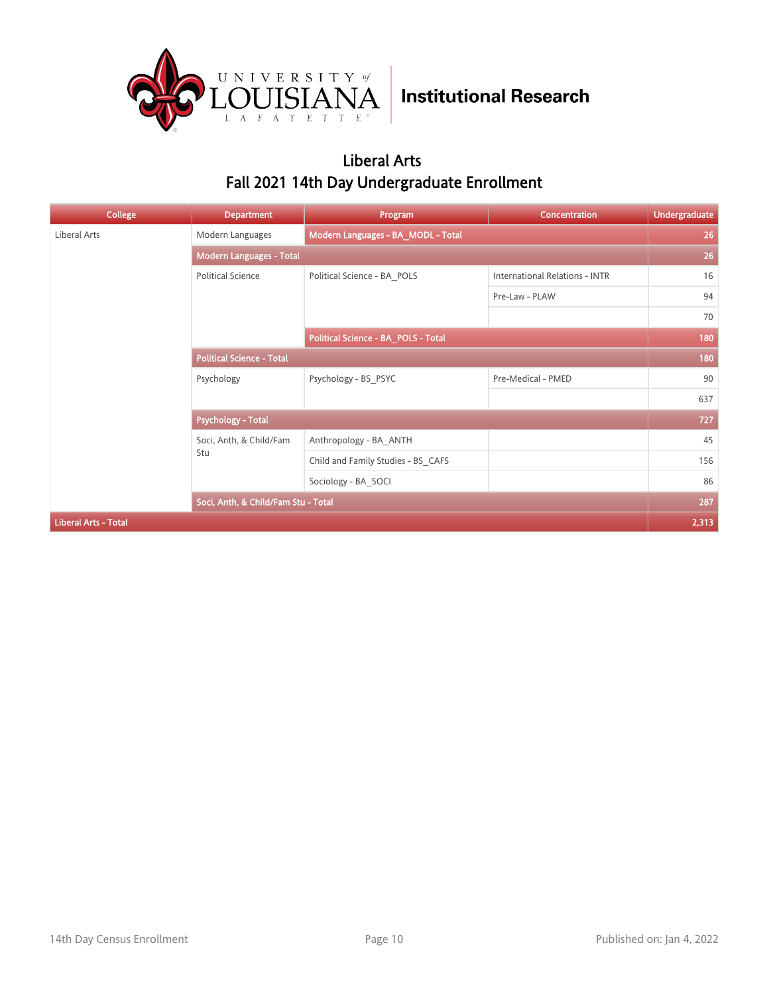

#### Liberal Arts Fall 2021 14th Day Undergraduate Enrollment

| <b>College</b>              | <b>Department</b>                   | Program                             | Concentration                  | <b>Undergraduate</b> |
|-----------------------------|-------------------------------------|-------------------------------------|--------------------------------|----------------------|
| Liberal Arts                | Modern Languages                    | Modern Languages - BA_MODL - Total  |                                | 26                   |
|                             | <b>Modern Languages - Total</b>     |                                     |                                | 26                   |
|                             | <b>Political Science</b>            | Political Science - BA POLS         | International Relations - INTR | 16                   |
|                             |                                     |                                     | Pre-Law - PLAW                 | 94                   |
|                             |                                     |                                     |                                | 70                   |
|                             |                                     | Political Science - BA_POLS - Total |                                | 180                  |
|                             | <b>Political Science - Total</b>    |                                     |                                | 180                  |
|                             | Psychology                          | Psychology - BS PSYC                | Pre-Medical - PMED             | 90                   |
|                             |                                     |                                     |                                | 637                  |
|                             | <b>Psychology - Total</b>           |                                     |                                | 727                  |
|                             | Soci, Anth, & Child/Fam             | Anthropology - BA ANTH              |                                | 45                   |
|                             | Stu                                 | Child and Family Studies - BS CAFS  |                                | 156                  |
|                             |                                     | Sociology - BA SOCI                 |                                | 86                   |
|                             | Soci, Anth, & Child/Fam Stu - Total |                                     |                                | 287                  |
| <b>Liberal Arts - Total</b> |                                     |                                     |                                | 2,313                |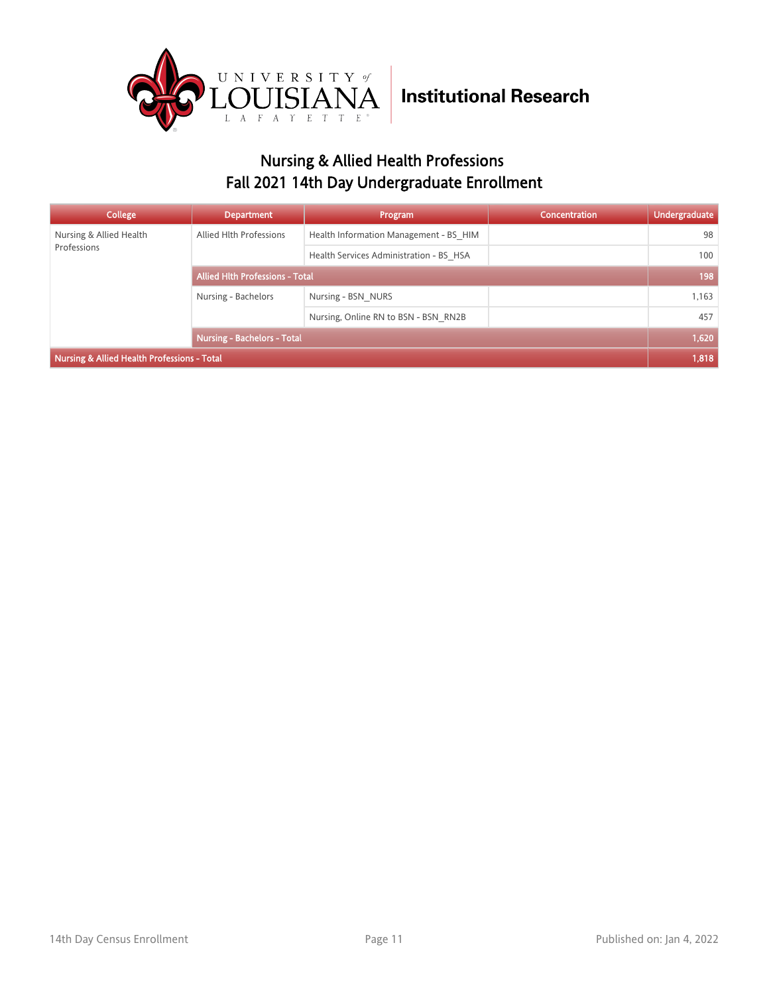

### Nursing & Allied Health Professions Fall 2021 14th Day Undergraduate Enrollment

| College                                     | <b>Department</b>                      | Program                                 | Concentration | <b>Undergraduate</b> |
|---------------------------------------------|----------------------------------------|-----------------------------------------|---------------|----------------------|
| Nursing & Allied Health                     | Allied Hlth Professions                | Health Information Management - BS HIM  |               | 98                   |
| Professions                                 |                                        | Health Services Administration - BS HSA |               | 100                  |
|                                             | <b>Allied Hith Professions - Total</b> |                                         |               | 198                  |
|                                             | Nursing - Bachelors                    | Nursing - BSN NURS                      |               | 1,163                |
|                                             |                                        | Nursing, Online RN to BSN - BSN RN2B    |               | 457                  |
|                                             | <b>Nursing - Bachelors - Total</b>     |                                         |               | 1,620                |
| Nursing & Allied Health Professions - Total |                                        |                                         |               | 1,818                |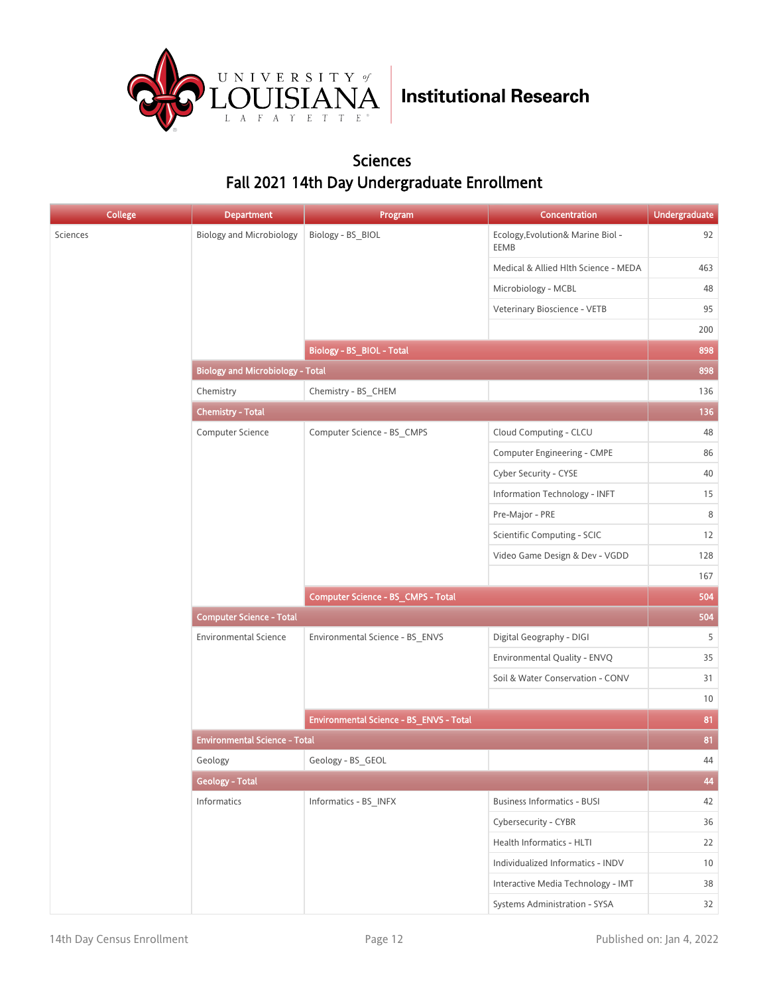

#### Sciences Fall 2021 14th Day Undergraduate Enrollment

| <b>College</b> | <b>Department</b>                       | Program                                 | Concentration                             | <b>Undergraduate</b> |
|----------------|-----------------------------------------|-----------------------------------------|-------------------------------------------|----------------------|
|                | <b>Biology and Microbiology</b>         | Biology - BS_BIOL                       | Ecology, Evolution& Marine Biol -<br>EEMB | 92                   |
|                |                                         |                                         | Medical & Allied Hlth Science - MEDA      | 463                  |
|                |                                         |                                         | Microbiology - MCBL                       | 48                   |
|                |                                         |                                         | Veterinary Bioscience - VETB              | 95                   |
|                |                                         |                                         |                                           | 200                  |
|                |                                         | <b>Biology - BS_BIOL - Total</b>        |                                           | 898                  |
|                | <b>Biology and Microbiology - Total</b> |                                         |                                           | 898                  |
|                | Chemistry                               | Chemistry - BS_CHEM                     |                                           | 136                  |
|                | <b>Chemistry - Total</b>                |                                         |                                           | 136                  |
|                | Computer Science                        | Computer Science - BS_CMPS              | Cloud Computing - CLCU                    | 48                   |
|                |                                         |                                         | Computer Engineering - CMPE               | 86                   |
|                |                                         |                                         | Cyber Security - CYSE                     | 40                   |
|                |                                         |                                         | Information Technology - INFT             | 15                   |
|                |                                         |                                         | Pre-Major - PRE                           | 8                    |
|                |                                         |                                         | Scientific Computing - SCIC               | 12                   |
|                |                                         |                                         | Video Game Design & Dev - VGDD            | 128                  |
|                |                                         |                                         |                                           | 167                  |
|                |                                         | Computer Science - BS_CMPS - Total      |                                           | 504                  |
|                | <b>Computer Science - Total</b>         |                                         |                                           | 504                  |
|                | <b>Environmental Science</b>            | Environmental Science - BS_ENVS         | Digital Geography - DIGI                  | 5                    |
|                |                                         |                                         | Environmental Quality - ENVQ              | 35                   |
|                |                                         |                                         | Soil & Water Conservation - CONV          | 31                   |
|                |                                         |                                         |                                           | 10                   |
|                |                                         | Environmental Science - BS_ENVS - Total |                                           | 81                   |
|                | <b>Environmental Science - Total</b>    |                                         |                                           | 81                   |
|                | Geology                                 | Geology - BS GEOL                       |                                           | 44                   |
|                | <b>Geology - Total</b>                  |                                         |                                           | 44                   |
|                | Informatics                             | Informatics - BS_INFX                   | <b>Business Informatics - BUSI</b>        | 42                   |
|                |                                         |                                         | Cybersecurity - CYBR                      | 36                   |
|                |                                         |                                         | Health Informatics - HLTI                 | 22                   |
|                |                                         |                                         | Individualized Informatics - INDV         | 10                   |
|                |                                         |                                         | Interactive Media Technology - IMT        | 38                   |
|                |                                         |                                         | Systems Administration - SYSA             | 32                   |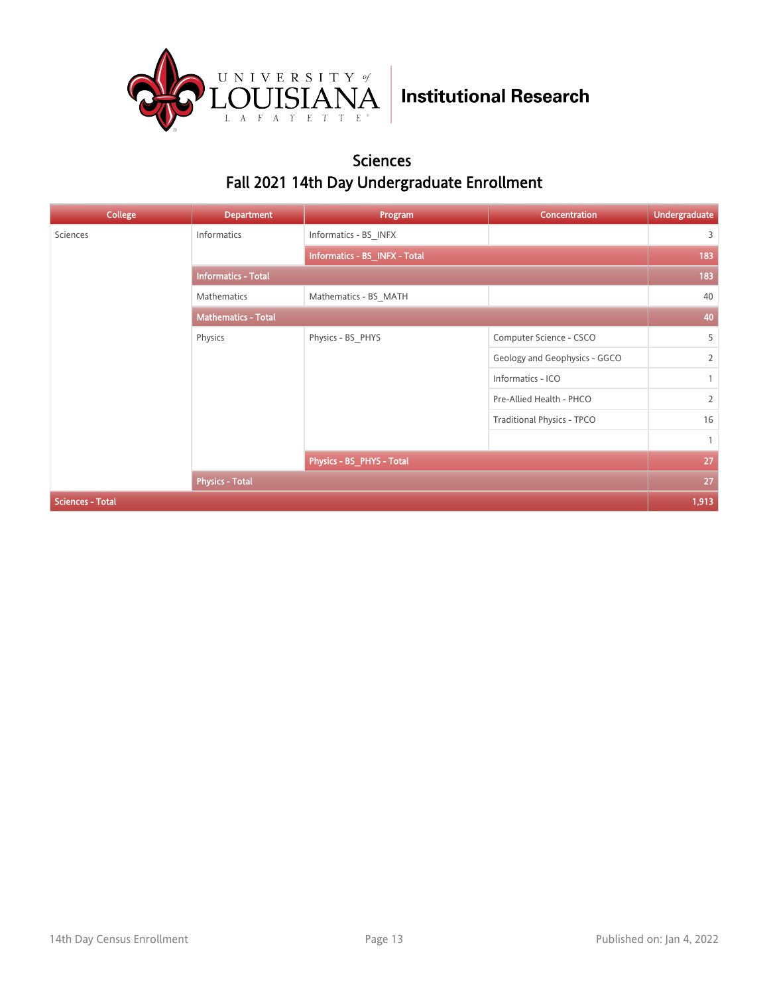

#### Sciences Fall 2021 14th Day Undergraduate Enrollment

| <b>College</b>          | <b>Department</b>          | Program                       | Concentration                     | <b>Undergraduate</b> |
|-------------------------|----------------------------|-------------------------------|-----------------------------------|----------------------|
| Sciences                | Informatics                | Informatics - BS INFX         |                                   | 3                    |
|                         |                            | Informatics - BS INFX - Total |                                   | 183                  |
|                         | <b>Informatics - Total</b> |                               |                                   | 183                  |
|                         | Mathematics                | Mathematics - BS MATH         |                                   | 40                   |
|                         | <b>Mathematics - Total</b> |                               |                                   | 40                   |
|                         | Physics                    | Physics - BS_PHYS             | Computer Science - CSCO           | 5                    |
|                         |                            |                               | Geology and Geophysics - GGCO     | $\overline{2}$       |
|                         |                            |                               | Informatics - ICO                 | $\mathbf{1}$         |
|                         |                            |                               | Pre-Allied Health - PHCO          | $\overline{2}$       |
|                         |                            |                               | <b>Traditional Physics - TPCO</b> | 16                   |
|                         |                            |                               |                                   | $\overline{1}$       |
|                         |                            | Physics - BS_PHYS - Total     |                                   | 27                   |
|                         | <b>Physics - Total</b>     |                               |                                   | 27                   |
| <b>Sciences - Total</b> |                            |                               |                                   | 1,913                |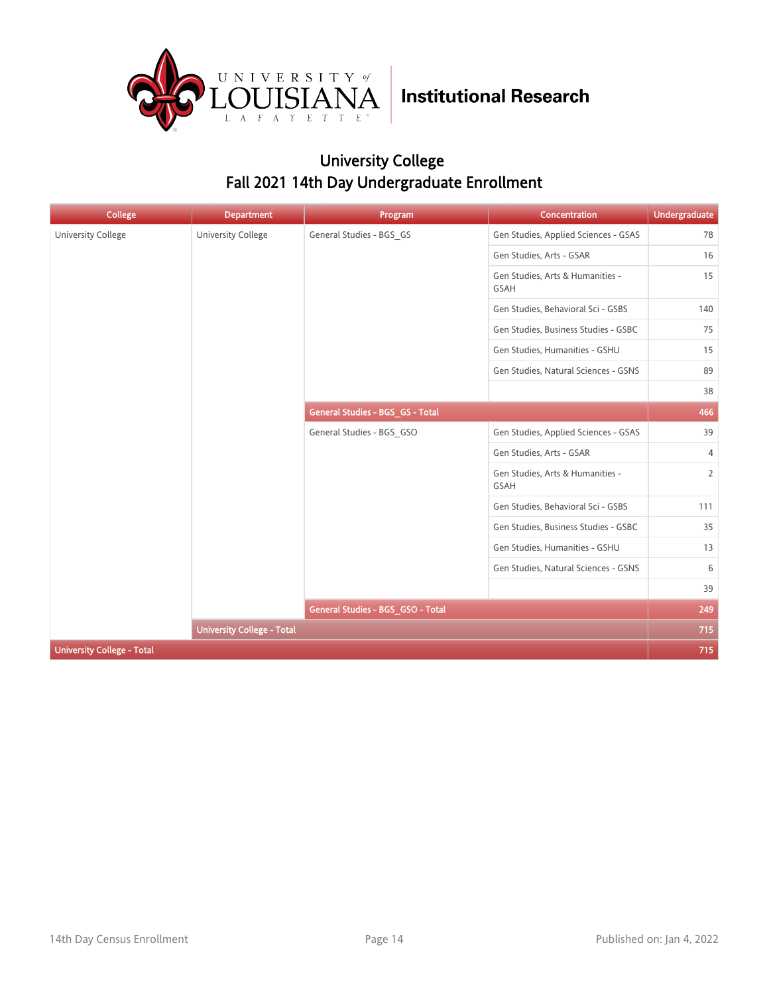

### University College Fall 2021 14th Day Undergraduate Enrollment

| <b>College</b>                    | <b>Department</b>                 | Program                           | Concentration                            | <b>Undergraduate</b> |
|-----------------------------------|-----------------------------------|-----------------------------------|------------------------------------------|----------------------|
| <b>University College</b>         | <b>University College</b>         | General Studies - BGS_GS          | Gen Studies, Applied Sciences - GSAS     | 78                   |
|                                   |                                   |                                   | Gen Studies, Arts - GSAR                 | 16                   |
|                                   |                                   |                                   | Gen Studies, Arts & Humanities -<br>GSAH | 15                   |
|                                   |                                   |                                   | Gen Studies, Behavioral Sci - GSBS       | 140                  |
|                                   |                                   |                                   | Gen Studies, Business Studies - GSBC     | 75                   |
|                                   |                                   |                                   | Gen Studies, Humanities - GSHU           | 15                   |
|                                   |                                   |                                   | Gen Studies, Natural Sciences - GSNS     | 89                   |
|                                   |                                   |                                   |                                          | 38                   |
|                                   |                                   | General Studies - BGS_GS - Total  |                                          | 466                  |
|                                   |                                   | General Studies - BGS_GSO         | Gen Studies, Applied Sciences - GSAS     | 39                   |
|                                   |                                   |                                   | Gen Studies, Arts - GSAR                 | $\overline{4}$       |
|                                   |                                   |                                   | Gen Studies, Arts & Humanities -<br>GSAH | $\overline{2}$       |
|                                   |                                   |                                   | Gen Studies, Behavioral Sci - GSBS       | 111                  |
|                                   |                                   |                                   | Gen Studies, Business Studies - GSBC     | 35                   |
|                                   |                                   |                                   | Gen Studies, Humanities - GSHU           | 13                   |
|                                   |                                   |                                   | Gen Studies, Natural Sciences - GSNS     | 6                    |
|                                   |                                   |                                   |                                          | 39                   |
|                                   |                                   | General Studies - BGS_GSO - Total |                                          | 249                  |
|                                   | <b>University College - Total</b> |                                   |                                          | 715                  |
| <b>University College - Total</b> |                                   |                                   |                                          | 715                  |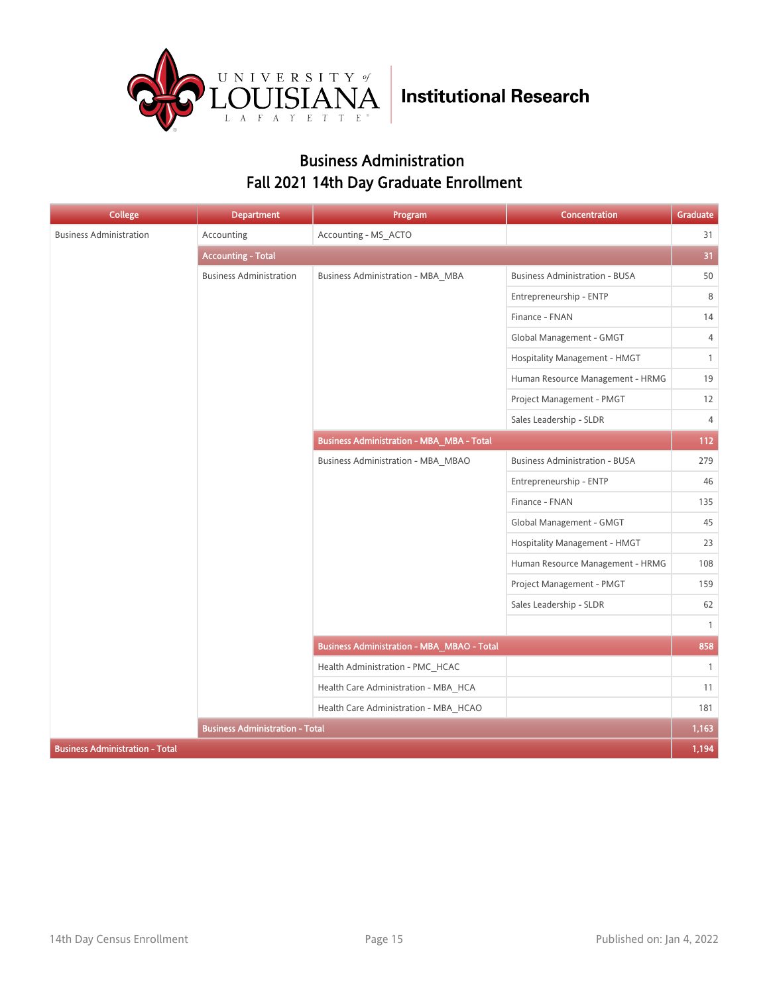

#### Business Administration Fall 2021 14th Day Graduate Enrollment

| College                                | <b>Department</b>                      | Program                                           | Concentration                         | Graduate       |
|----------------------------------------|----------------------------------------|---------------------------------------------------|---------------------------------------|----------------|
| <b>Business Administration</b>         | Accounting                             | Accounting - MS ACTO                              |                                       | 31             |
|                                        | <b>Accounting - Total</b>              |                                                   |                                       | 31             |
|                                        | <b>Business Administration</b>         | <b>Business Administration - MBA_MBA</b>          | <b>Business Administration - BUSA</b> | 50             |
|                                        |                                        |                                                   | Entrepreneurship - ENTP               | 8              |
|                                        |                                        |                                                   | Finance - FNAN                        | 14             |
|                                        |                                        |                                                   | Global Management - GMGT              | 4              |
|                                        |                                        |                                                   | Hospitality Management - HMGT         | $\mathbf{1}$   |
|                                        |                                        |                                                   | Human Resource Management - HRMG      | 19             |
|                                        |                                        |                                                   | Project Management - PMGT             | 12             |
|                                        |                                        |                                                   | Sales Leadership - SLDR               | $\overline{4}$ |
|                                        |                                        | <b>Business Administration - MBA_MBA - Total</b>  |                                       | 112            |
|                                        |                                        | Business Administration - MBA MBAO                | <b>Business Administration - BUSA</b> | 279            |
|                                        |                                        |                                                   | Entrepreneurship - ENTP               | 46             |
|                                        |                                        |                                                   | Finance - FNAN                        | 135            |
|                                        |                                        |                                                   | Global Management - GMGT              | 45             |
|                                        |                                        |                                                   | Hospitality Management - HMGT         | 23             |
|                                        |                                        |                                                   | Human Resource Management - HRMG      | 108            |
|                                        |                                        |                                                   | Project Management - PMGT             | 159            |
|                                        |                                        |                                                   | Sales Leadership - SLDR               | 62             |
|                                        |                                        |                                                   |                                       | $\overline{1}$ |
|                                        |                                        | <b>Business Administration - MBA_MBAO - Total</b> |                                       | 858            |
|                                        |                                        | Health Administration - PMC_HCAC                  |                                       | $\mathbf{1}$   |
|                                        |                                        | Health Care Administration - MBA HCA              |                                       | 11             |
|                                        |                                        | Health Care Administration - MBA_HCAO             |                                       | 181            |
|                                        | <b>Business Administration - Total</b> |                                                   |                                       | 1,163          |
| <b>Business Administration - Total</b> |                                        |                                                   |                                       | 1,194          |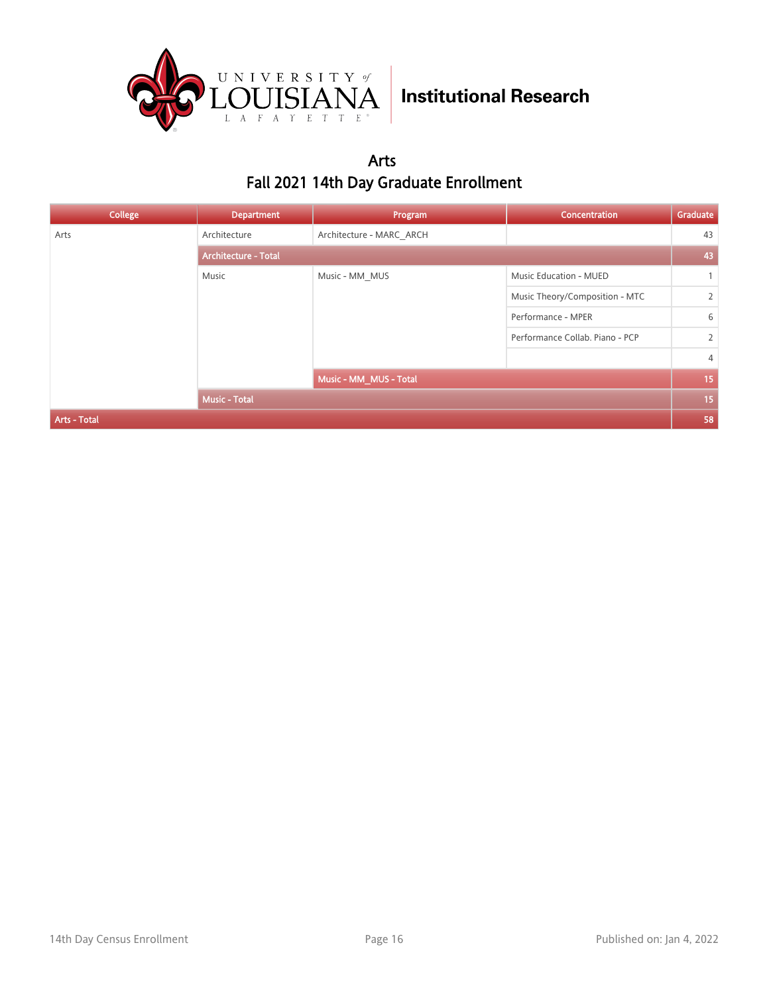

#### Arts Fall 2021 14th Day Graduate Enrollment

| College      | <b>Department</b>           | Program                  | Concentration                   | Graduate       |
|--------------|-----------------------------|--------------------------|---------------------------------|----------------|
| Arts         | Architecture                | Architecture - MARC ARCH |                                 | 43             |
|              | <b>Architecture - Total</b> |                          |                                 |                |
|              | Music                       | Music - MM MUS           | <b>Music Education - MUED</b>   |                |
|              |                             |                          | Music Theory/Composition - MTC  | $\overline{2}$ |
|              |                             |                          | Performance - MPER              | 6              |
|              |                             |                          | Performance Collab. Piano - PCP | $\overline{2}$ |
|              |                             |                          |                                 | $\overline{4}$ |
|              |                             | Music - MM_MUS - Total   |                                 | 15             |
|              | <b>Music - Total</b>        |                          |                                 | 15             |
| Arts - Total |                             |                          |                                 | 58             |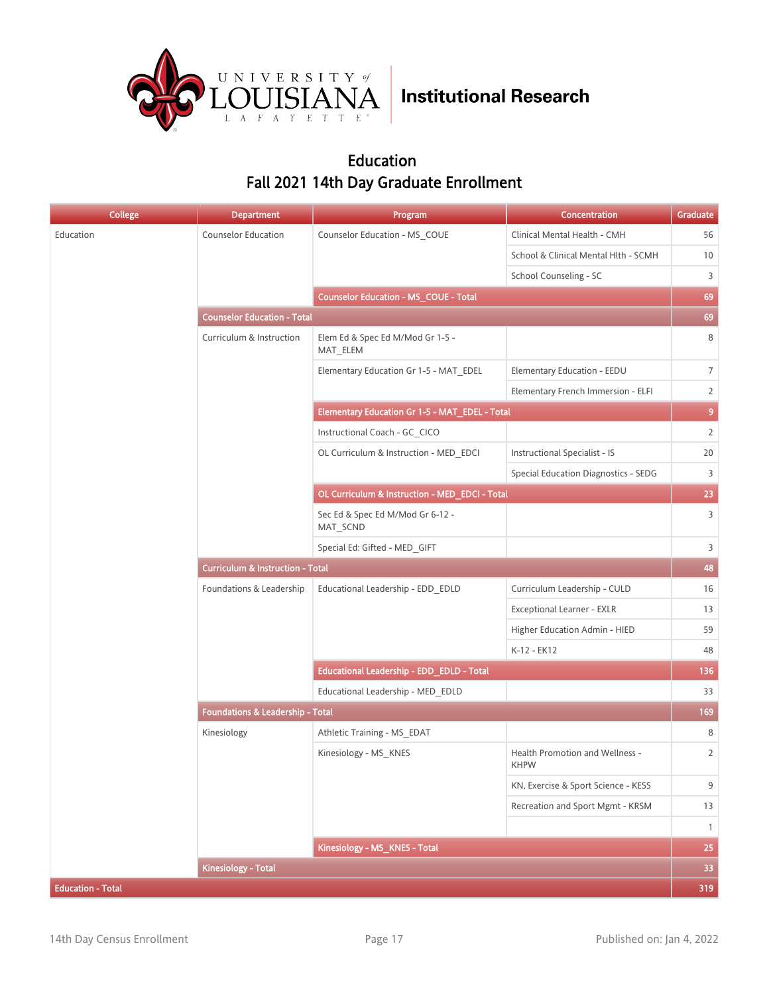

#### Education Fall 2021 14th Day Graduate Enrollment

| <b>College</b>           | <b>Department</b>                           | Program                                        | <b>Concentration</b>                           | Graduate       |  |
|--------------------------|---------------------------------------------|------------------------------------------------|------------------------------------------------|----------------|--|
| Education                | <b>Counselor Education</b>                  | Counselor Education - MS_COUE                  | Clinical Mental Health - CMH                   | 56             |  |
|                          |                                             |                                                | School & Clinical Mental Hlth - SCMH           | 10             |  |
|                          |                                             |                                                | School Counseling - SC                         | 3              |  |
|                          |                                             | <b>Counselor Education - MS_COUE - Total</b>   |                                                | 69             |  |
|                          | <b>Counselor Education - Total</b>          |                                                |                                                | 69             |  |
|                          | Curriculum & Instruction                    | Elem Ed & Spec Ed M/Mod Gr 1-5 -<br>MAT_ELEM   |                                                | 8              |  |
|                          |                                             | Elementary Education Gr 1-5 - MAT EDEL         | Elementary Education - EEDU                    | 7 <sup>1</sup> |  |
|                          |                                             |                                                | Elementary French Immersion - ELFI             | $2^{\circ}$    |  |
|                          |                                             | Elementary Education Gr 1-5 - MAT_EDEL - Total |                                                | 9 <sub>o</sub> |  |
|                          |                                             | Instructional Coach - GC CICO                  |                                                | $\overline{2}$ |  |
|                          |                                             | OL Curriculum & Instruction - MED_EDCI         | Instructional Specialist - IS                  | 20             |  |
|                          |                                             |                                                | <b>Special Education Diagnostics - SEDG</b>    | 3              |  |
|                          |                                             | OL Curriculum & Instruction - MED_EDCI - Total |                                                | 23             |  |
|                          |                                             | Sec Ed & Spec Ed M/Mod Gr 6-12 -<br>MAT_SCND   |                                                | $\overline{3}$ |  |
|                          |                                             | Special Ed: Gifted - MED_GIFT                  |                                                | $\overline{3}$ |  |
|                          | <b>Curriculum &amp; Instruction - Total</b> |                                                |                                                |                |  |
|                          | Foundations & Leadership                    | Educational Leadership - EDD EDLD              | Curriculum Leadership - CULD                   | 16             |  |
|                          |                                             |                                                | Exceptional Learner - EXLR                     | 13             |  |
|                          |                                             |                                                | Higher Education Admin - HIED                  | 59             |  |
|                          |                                             |                                                | K-12 - EK12                                    | 48             |  |
|                          |                                             | Educational Leadership - EDD_EDLD - Total      |                                                | 136            |  |
|                          |                                             | Educational Leadership - MED EDLD              |                                                | 33             |  |
|                          | <b>Foundations &amp; Leadership - Total</b> |                                                |                                                | 169            |  |
|                          | Kinesiology                                 | Athletic Training - MS_EDAT                    |                                                | 8              |  |
|                          |                                             | Kinesiology - MS_KNES                          | Health Promotion and Wellness -<br><b>KHPW</b> | $\overline{2}$ |  |
|                          |                                             |                                                | KN, Exercise & Sport Science - KESS            | 9              |  |
|                          |                                             |                                                | Recreation and Sport Mgmt - KRSM               | 13             |  |
|                          |                                             |                                                |                                                | $\mathbf{1}$   |  |
|                          |                                             | Kinesiology - MS_KNES - Total                  |                                                | 25             |  |
|                          | Kinesiology - Total                         |                                                |                                                | 33             |  |
| <b>Education - Total</b> |                                             |                                                |                                                | 319            |  |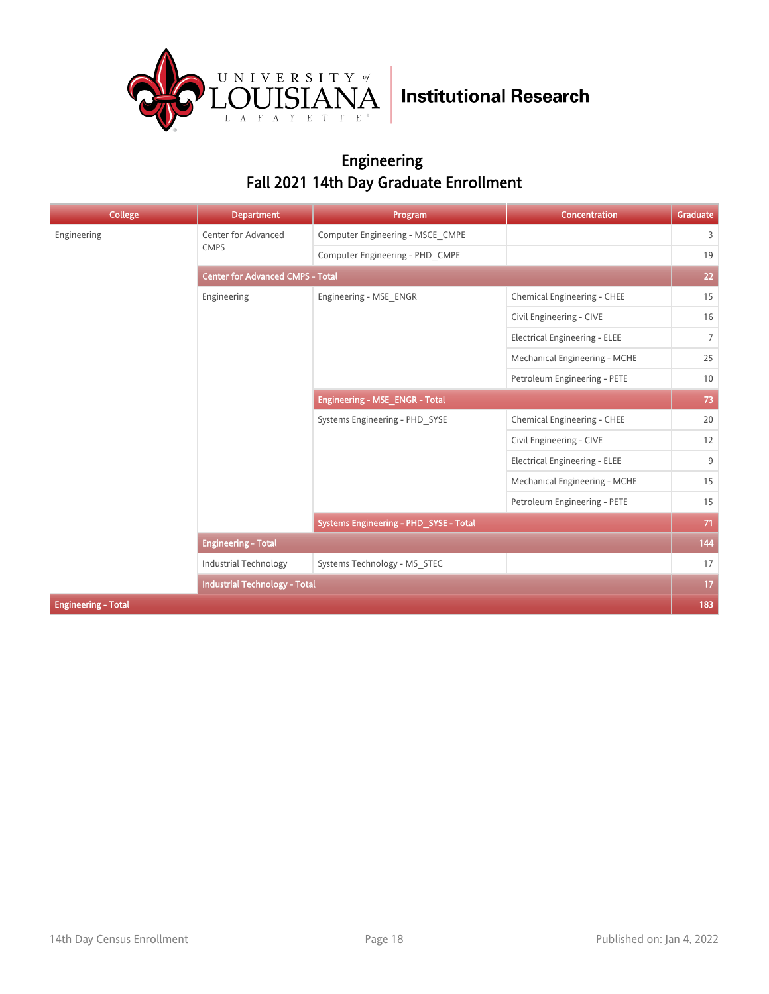

#### Engineering Fall 2021 14th Day Graduate Enrollment

| <b>College</b>             | <b>Department</b>                       | Program                                | Concentration                        | Graduate       |  |
|----------------------------|-----------------------------------------|----------------------------------------|--------------------------------------|----------------|--|
| Engineering                | Center for Advanced                     | Computer Engineering - MSCE CMPE       |                                      | $\overline{3}$ |  |
|                            | <b>CMPS</b>                             | Computer Engineering - PHD CMPE        |                                      | 19             |  |
|                            | <b>Center for Advanced CMPS - Total</b> |                                        |                                      |                |  |
|                            | Engineering                             | Engineering - MSE ENGR                 | Chemical Engineering - CHEE          | 15             |  |
|                            |                                         |                                        | Civil Engineering - CIVE             | 16             |  |
|                            |                                         |                                        | <b>Electrical Engineering - ELEE</b> | $7^{\circ}$    |  |
|                            |                                         |                                        | Mechanical Engineering - MCHE        | 25             |  |
|                            |                                         |                                        | Petroleum Engineering - PETE         | 10             |  |
|                            |                                         | Engineering - MSE_ENGR - Total         |                                      | 73             |  |
|                            |                                         | Systems Engineering - PHD SYSE         | Chemical Engineering - CHEE          | $20\,$         |  |
|                            |                                         |                                        | Civil Engineering - CIVE             | 12             |  |
|                            |                                         |                                        | <b>Electrical Engineering - ELEE</b> | 9              |  |
|                            |                                         |                                        | Mechanical Engineering - MCHE        | 15             |  |
|                            |                                         |                                        | Petroleum Engineering - PETE         | 15             |  |
|                            |                                         | Systems Engineering - PHD_SYSE - Total |                                      | 71             |  |
|                            | <b>Engineering - Total</b>              |                                        |                                      | 144            |  |
|                            | <b>Industrial Technology</b>            | Systems Technology - MS STEC           |                                      | 17             |  |
|                            | <b>Industrial Technology - Total</b>    |                                        |                                      | 17             |  |
| <b>Engineering - Total</b> |                                         |                                        |                                      | 183            |  |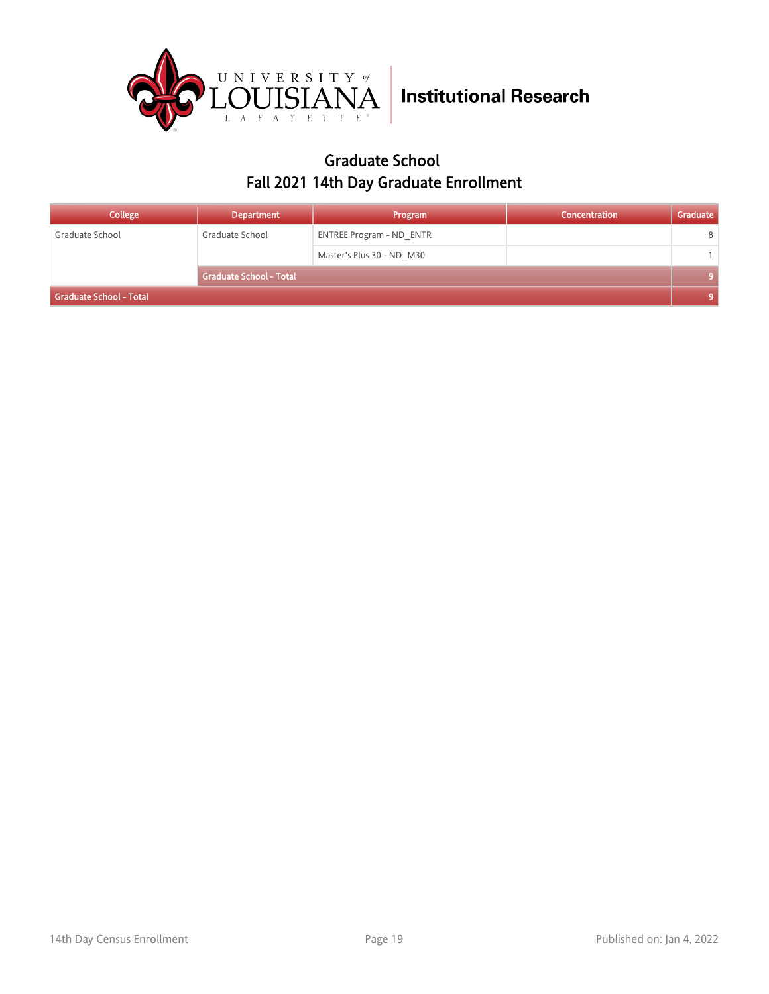

#### Graduate School Fall 2021 14th Day Graduate Enrollment

| <b>College</b>          | <b>Department</b>              | Program                         | Concentration | Graduate |
|-------------------------|--------------------------------|---------------------------------|---------------|----------|
| Graduate School         | Graduate School                | <b>ENTREE Program - ND ENTR</b> |               | 8        |
|                         |                                | Master's Plus 30 - ND M30       |               |          |
|                         | <b>Graduate School - Total</b> |                                 |               |          |
| Graduate School - Total |                                |                                 |               |          |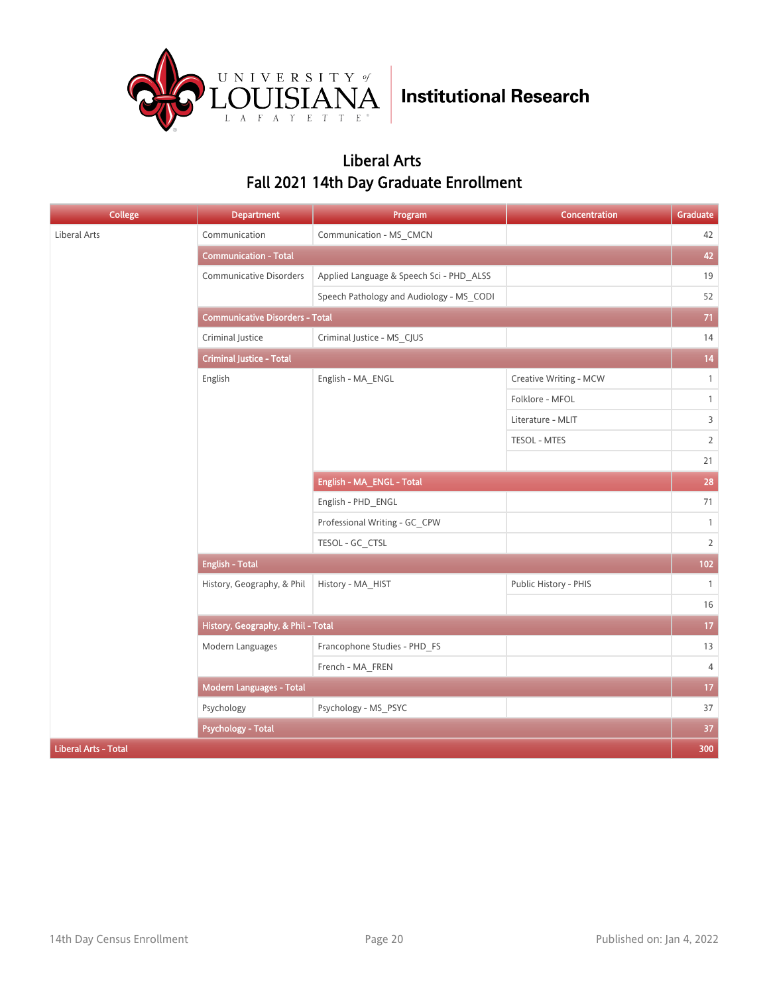

#### Liberal Arts Fall 2021 14th Day Graduate Enrollment

| <b>College</b>              | <b>Department</b>                      | Program                                  | Concentration          | Graduate        |  |
|-----------------------------|----------------------------------------|------------------------------------------|------------------------|-----------------|--|
| Liberal Arts                | Communication                          | Communication - MS_CMCN                  |                        | 42              |  |
|                             | <b>Communication - Total</b>           |                                          |                        | 42              |  |
|                             | Communicative Disorders                | Applied Language & Speech Sci - PHD_ALSS |                        | 19              |  |
|                             |                                        | Speech Pathology and Audiology - MS CODI |                        | 52              |  |
|                             | <b>Communicative Disorders - Total</b> |                                          |                        |                 |  |
|                             | Criminal Justice                       | Criminal Justice - MS_CJUS               |                        | 14              |  |
|                             | <b>Criminal Justice - Total</b>        |                                          |                        |                 |  |
|                             | English                                | English - MA_ENGL                        | Creative Writing - MCW | $\mathbf{1}$    |  |
|                             |                                        |                                          | Folklore - MFOL        | $\mathbf{1}$    |  |
|                             |                                        |                                          | Literature - MLIT      | $\overline{3}$  |  |
|                             |                                        |                                          | TESOL - MTES           | $\overline{2}$  |  |
|                             |                                        |                                          |                        | 21              |  |
|                             |                                        | English - MA_ENGL - Total                |                        | 28              |  |
|                             |                                        | English - PHD_ENGL                       |                        | 71              |  |
|                             |                                        | Professional Writing - GC_CPW            |                        | $\overline{1}$  |  |
|                             |                                        | TESOL - GC_CTSL                          |                        | $\overline{2}$  |  |
|                             | <b>English - Total</b>                 |                                          |                        | 102             |  |
|                             | History, Geography, & Phil             | History - MA_HIST                        | Public History - PHIS  | $\overline{1}$  |  |
|                             |                                        |                                          |                        | 16              |  |
|                             | History, Geography, & Phil - Total     |                                          |                        | 17 <sub>2</sub> |  |
|                             | Modern Languages                       | Francophone Studies - PHD_FS             |                        | 13              |  |
|                             |                                        | French - MA FREN                         |                        | $\overline{4}$  |  |
|                             | Modern Languages - Total               |                                          |                        | 17 <sub>2</sub> |  |
|                             | Psychology                             | Psychology - MS_PSYC                     |                        | 37              |  |
|                             | <b>Psychology - Total</b>              |                                          |                        | 37              |  |
| <b>Liberal Arts - Total</b> |                                        |                                          |                        | 300             |  |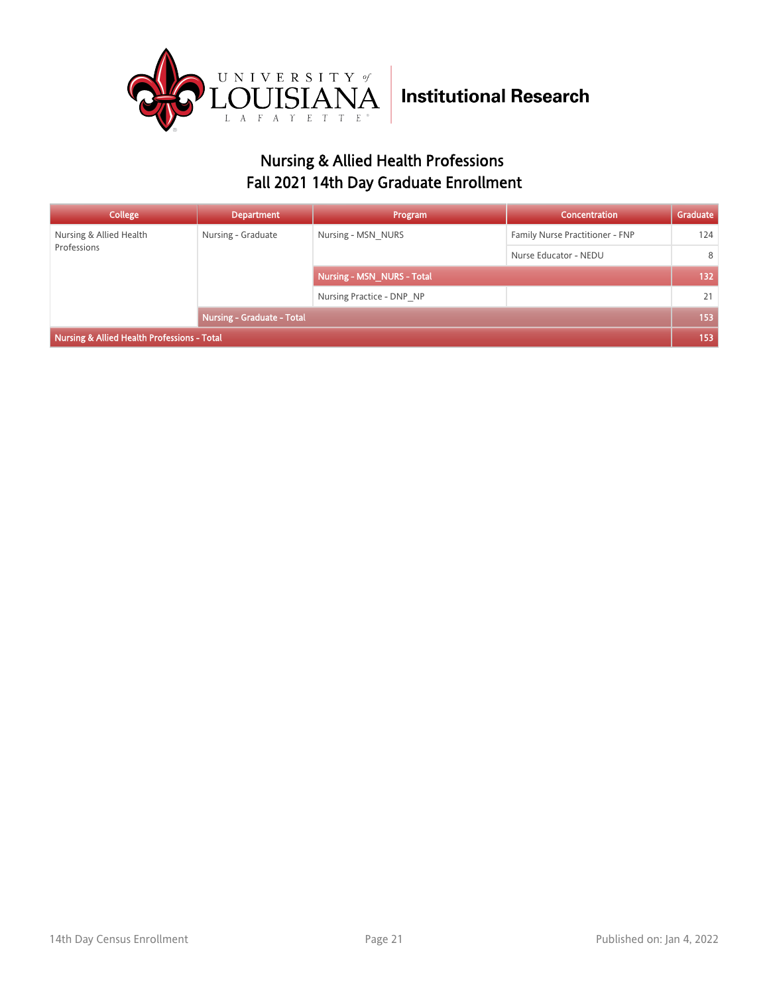

### Nursing & Allied Health Professions Fall 2021 14th Day Graduate Enrollment

| College                                     | <b>Department</b>                 | Program                    | <b>Concentration</b>            | Graduate |
|---------------------------------------------|-----------------------------------|----------------------------|---------------------------------|----------|
| Nursing & Allied Health<br>Professions      | Nursing - Graduate                | Nursing - MSN NURS         | Family Nurse Practitioner - FNP | 124      |
|                                             |                                   |                            | Nurse Educator - NEDU           | 8        |
|                                             |                                   | Nursing - MSN NURS - Total |                                 | 132      |
|                                             |                                   | Nursing Practice - DNP NP  |                                 | 21       |
|                                             | <b>Nursing - Graduate - Total</b> |                            | 153                             |          |
| Nursing & Allied Health Professions - Total |                                   |                            |                                 | 153      |